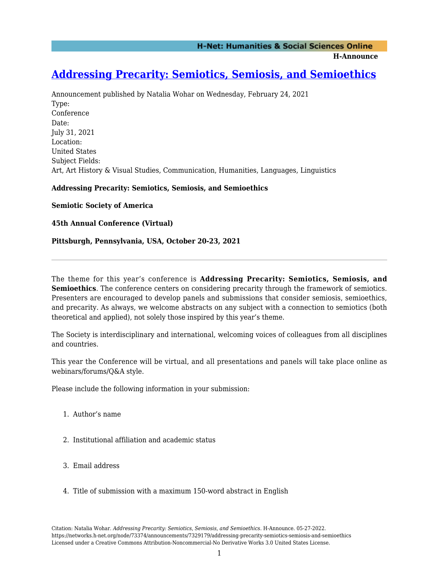**H-Announce** 

# **[Addressing Precarity: Semiotics, Semiosis, and Semioethics](https://networks.h-net.org/node/73374/announcements/7329179/addressing-precarity-semiotics-semiosis-and-semioethics)**

Announcement published by Natalia Wohar on Wednesday, February 24, 2021 Type: Conference Date: July 31, 2021 Location: United States Subject Fields: Art, Art History & Visual Studies, Communication, Humanities, Languages, Linguistics

### **Addressing Precarity: Semiotics, Semiosis, and Semioethics**

**Semiotic Society of America**

**45th Annual Conference (Virtual)**

### **Pittsburgh, Pennsylvania, USA, October 20-23, 2021**

The theme for this year's conference is **Addressing Precarity: Semiotics, Semiosis, and Semioethics**. The conference centers on considering precarity through the framework of semiotics. Presenters are encouraged to develop panels and submissions that consider semiosis, semioethics, and precarity. As always, we welcome abstracts on any subject with a connection to semiotics (both theoretical and applied), not solely those inspired by this year's theme.

The Society is interdisciplinary and international, welcoming voices of colleagues from all disciplines and countries.

This year the Conference will be virtual, and all presentations and panels will take place online as webinars/forums/Q&A style.

Please include the following information in your submission:

- 1. Author's name
- 2. Institutional affiliation and academic status
- 3. Email address
- 4. Title of submission with a maximum 150-word abstract in English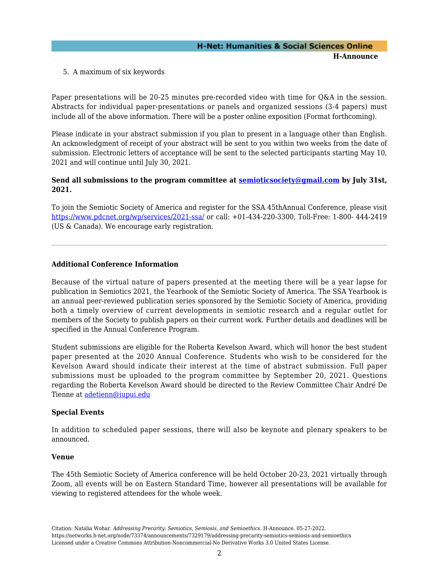# **H-Net: Humanities & Social Sciences Online H-Announce**

5. A maximum of six keywords

Paper presentations will be 20-25 minutes pre-recorded video with time for Q&A in the session. Abstracts for individual paper-presentations or panels and organized sessions (3-4 papers) must include all of the above information. There will be a poster online exposition (Format forthcoming).

Please indicate in your abstract submission if you plan to present in a language other than English. An acknowledgment of receipt of your abstract will be sent to you within two weeks from the date of submission. Electronic letters of acceptance will be sent to the selected participants starting May 10, 2021 and will continue until July 30, 2021.

### **Send all submissions to the program committee at [semioticsociety@gmail.com](mailto:semioticsociety@gmail.com) by July 31st, 2021.**

To join the Semiotic Society of America and register for the SSA 45thAnnual Conference, please visit <https://www.pdcnet.org/wp/services/2021-ssa/> or call: +01-434-220-3300, Toll-Free: 1-800- 444-2419 (US & Canada). We encourage early registration.

### **Additional Conference Information**

Because of the virtual nature of papers presented at the meeting there will be a year lapse for publication in Semiotics 2021, the Yearbook of the Semiotic Society of America. The SSA Yearbook is an annual peer-reviewed publication series sponsored by the Semiotic Society of America, providing both a timely overview of current developments in semiotic research and a regular outlet for members of the Society to publish papers on their current work. Further details and deadlines will be specified in the Annual Conference Program.

Student submissions are eligible for the Roberta Kevelson Award, which will honor the best student paper presented at the 2020 Annual Conference. Students who wish to be considered for the Kevelson Award should indicate their interest at the time of abstract submission. Full paper submissions must be uploaded to the program committee by September 20, 2021. Questions regarding the Roberta Kevelson Award should be directed to the Review Committee Chair André De Tienne at [adetienn@iupui.edu](mailto:adetienn@iupui.edu)

#### **Special Events**

In addition to scheduled paper sessions, there will also be keynote and plenary speakers to be announced.

#### **Venue**

The 45th Semiotic Society of America conference will be held October 20-23, 2021 virtually through Zoom, all events will be on Eastern Standard Time, however all presentations will be available for viewing to registered attendees for the whole week.